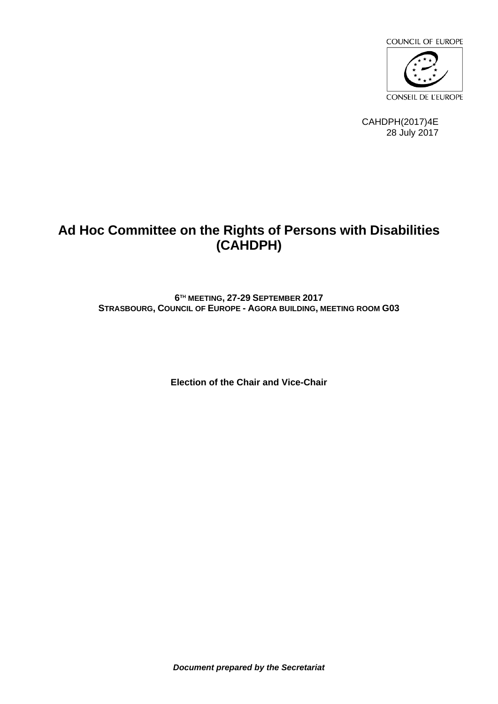

CAHDPH(2017)4E 28 July 2017

# **Ad Hoc Committee on the Rights of Persons with Disabilities (CAHDPH)**

**6 TH MEETING, 27-29 SEPTEMBER 2017 STRASBOURG, COUNCIL OF EUROPE - AGORA BUILDING, MEETING ROOM G03**

**Election of the Chair and Vice-Chair**

*Document prepared by the Secretariat*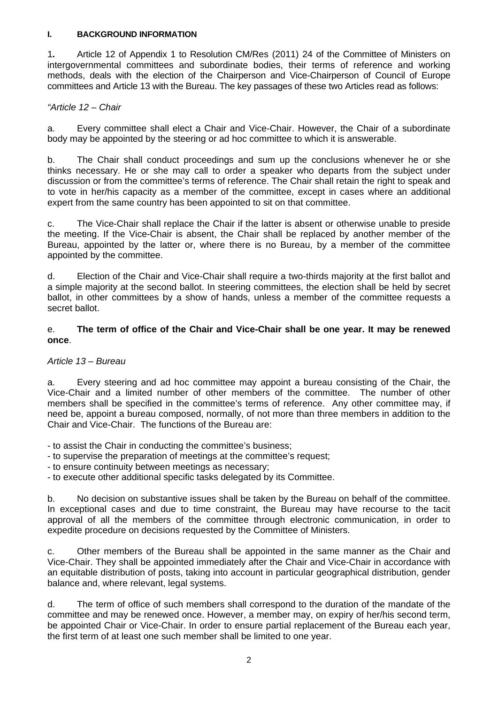#### **I. BACKGROUND INFORMATION**

1**.** Article 12 of Appendix 1 to Resolution CM/Res (2011) 24 of the Committee of Ministers on intergovernmental committees and subordinate bodies, their terms of reference and working methods, deals with the election of the Chairperson and Vice-Chairperson of Council of Europe committees and Article 13 with the Bureau. The key passages of these two Articles read as follows:

### *"Article 12 – Chair*

a. Every committee shall elect a Chair and Vice-Chair. However, the Chair of a subordinate body may be appointed by the steering or ad hoc committee to which it is answerable.

b. The Chair shall conduct proceedings and sum up the conclusions whenever he or she thinks necessary. He or she may call to order a speaker who departs from the subject under discussion or from the committee's terms of reference. The Chair shall retain the right to speak and to vote in her/his capacity as a member of the committee, except in cases where an additional expert from the same country has been appointed to sit on that committee.

c. The Vice-Chair shall replace the Chair if the latter is absent or otherwise unable to preside the meeting. If the Vice-Chair is absent, the Chair shall be replaced by another member of the Bureau, appointed by the latter or, where there is no Bureau, by a member of the committee appointed by the committee.

d. Election of the Chair and Vice-Chair shall require a two-thirds majority at the first ballot and a simple majority at the second ballot. In steering committees, the election shall be held by secret ballot, in other committees by a show of hands, unless a member of the committee requests a secret ballot.

## e. **The term of office of the Chair and Vice-Chair shall be one year. It may be renewed once**.

### *Article 13 – Bureau*

a. Every steering and ad hoc committee may appoint a bureau consisting of the Chair, the Vice-Chair and a limited number of other members of the committee. The number of other members shall be specified in the committee's terms of reference. Any other committee may, if need be, appoint a bureau composed, normally, of not more than three members in addition to the Chair and Vice-Chair. The functions of the Bureau are:

- to assist the Chair in conducting the committee's business;

- to supervise the preparation of meetings at the committee's request;

- to ensure continuity between meetings as necessary;

- to execute other additional specific tasks delegated by its Committee.

b. No decision on substantive issues shall be taken by the Bureau on behalf of the committee. In exceptional cases and due to time constraint, the Bureau may have recourse to the tacit approval of all the members of the committee through electronic communication, in order to expedite procedure on decisions requested by the Committee of Ministers.

c. Other members of the Bureau shall be appointed in the same manner as the Chair and Vice-Chair. They shall be appointed immediately after the Chair and Vice-Chair in accordance with an equitable distribution of posts, taking into account in particular geographical distribution, gender balance and, where relevant, legal systems.

d. The term of office of such members shall correspond to the duration of the mandate of the committee and may be renewed once. However, a member may, on expiry of her/his second term, be appointed Chair or Vice-Chair. In order to ensure partial replacement of the Bureau each year, the first term of at least one such member shall be limited to one year.